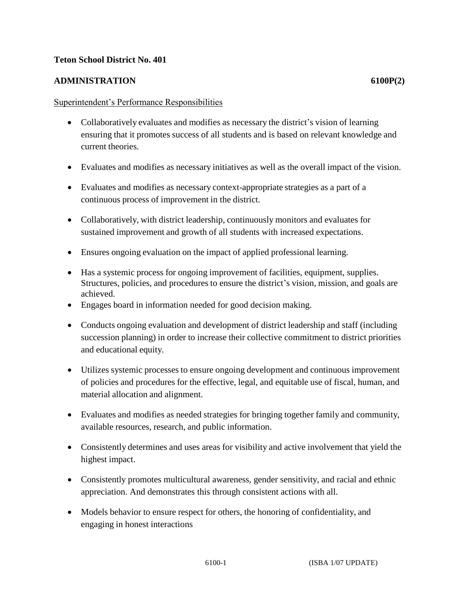## **ADMINISTRATION 6100P(2)**

## Superintendent's Performance Responsibilities

- Collaboratively evaluates and modifies as necessary the district's vision of learning ensuring that it promotes success of all students and is based on relevant knowledge and current theories.
- Evaluates and modifies as necessary initiatives as well as the overall impact of the vision.
- Evaluates and modifies as necessary context-appropriate strategies as a part of a continuous process of improvement in the district.
- Collaboratively, with district leadership, continuously monitors and evaluates for sustained improvement and growth of all students with increased expectations.
- Ensures ongoing evaluation on the impact of applied professional learning.
- Has a systemic process for ongoing improvement of facilities, equipment, supplies. Structures, policies, and procedures to ensure the district's vision, mission, and goals are achieved.
- Engages board in information needed for good decision making.
- Conducts ongoing evaluation and development of district leadership and staff (including succession planning) in order to increase their collective commitment to district priorities and educational equity.
- Utilizes systemic processes to ensure ongoing development and continuous improvement of policies and procedures for the effective, legal, and equitable use of fiscal, human, and material allocation and alignment.
- Evaluates and modifies as needed strategies for bringing together family and community, available resources, research, and public information.
- Consistently determines and uses areas for visibility and active involvement that yield the highest impact.
- Consistently promotes multicultural awareness, gender sensitivity, and racial and ethnic appreciation. And demonstrates this through consistent actions with all.
- Models behavior to ensure respect for others, the honoring of confidentiality, and engaging in honest interactions